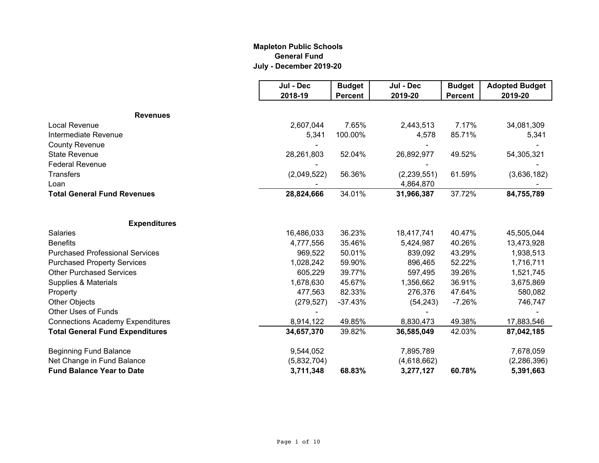### **Mapleton Public Schools General Fund July - December 2019-20**

|                                         | Jul - Dec   | <b>Budget</b>  | Jul - Dec     | <b>Budget</b>  | <b>Adopted Budget</b> |
|-----------------------------------------|-------------|----------------|---------------|----------------|-----------------------|
|                                         | 2018-19     | <b>Percent</b> | 2019-20       | <b>Percent</b> | 2019-20               |
| <b>Revenues</b>                         |             |                |               |                |                       |
| Local Revenue                           | 2,607,044   | 7.65%          | 2,443,513     | 7.17%          | 34,081,309            |
| Intermediate Revenue                    | 5,341       | 100.00%        | 4,578         | 85.71%         | 5,341                 |
| <b>County Revenue</b>                   |             |                |               |                |                       |
| <b>State Revenue</b>                    | 28,261,803  | 52.04%         | 26,892,977    | 49.52%         | 54,305,321            |
| <b>Federal Revenue</b>                  |             |                |               |                |                       |
| <b>Transfers</b>                        | (2,049,522) | 56.36%         | (2, 239, 551) | 61.59%         | (3,636,182)           |
| Loan                                    |             |                | 4,864,870     |                |                       |
| <b>Total General Fund Revenues</b>      | 28,824,666  | 34.01%         | 31,966,387    | 37.72%         | 84,755,789            |
|                                         |             |                |               |                |                       |
| <b>Expenditures</b>                     |             |                |               |                |                       |
| Salaries                                | 16,486,033  | 36.23%         | 18,417,741    | 40.47%         | 45,505,044            |
| <b>Benefits</b>                         | 4,777,556   | 35.46%         | 5,424,987     | 40.26%         | 13,473,928            |
| <b>Purchased Professional Services</b>  | 969,522     | 50.01%         | 839,092       | 43.29%         | 1,938,513             |
| <b>Purchased Property Services</b>      | 1,028,242   | 59.90%         | 896,465       | 52.22%         | 1,716,711             |
| <b>Other Purchased Services</b>         | 605,229     | 39.77%         | 597,495       | 39.26%         | 1,521,745             |
| Supplies & Materials                    | 1,678,630   | 45.67%         | 1,356,662     | 36.91%         | 3,675,869             |
| Property                                | 477,563     | 82.33%         | 276,376       | 47.64%         | 580,082               |
| <b>Other Objects</b>                    | (279, 527)  | $-37.43%$      | (54, 243)     | $-7.26%$       | 746,747               |
| Other Uses of Funds                     |             |                |               |                |                       |
| <b>Connections Academy Expenditures</b> | 8,914,122   | 49.85%         | 8,830,473     | 49.38%         | 17,883,546            |
| <b>Total General Fund Expenditures</b>  | 34,657,370  | 39.82%         | 36,585,049    | 42.03%         | 87,042,185            |
| <b>Beginning Fund Balance</b>           | 9,544,052   |                | 7,895,789     |                | 7,678,059             |
| Net Change in Fund Balance              | (5,832,704) |                | (4,618,662)   |                | (2,286,396)           |
| <b>Fund Balance Year to Date</b>        | 3,711,348   | 68.83%         | 3,277,127     | 60.78%         | 5,391,663             |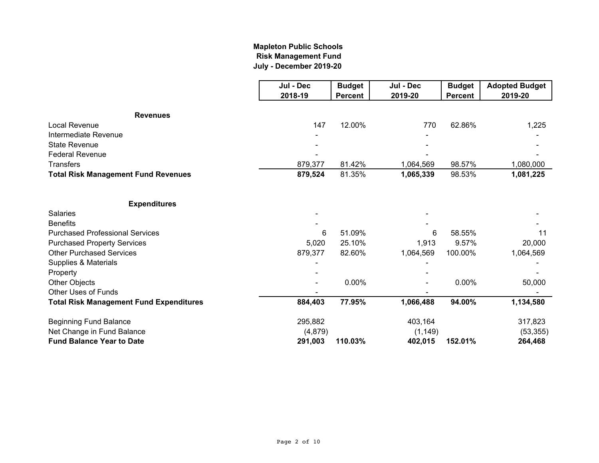# **July - December 2019-20 Mapleton Public Schools Risk Management Fund**

|                                                | Jul - Dec | <b>Budget</b>  | Jul - Dec | <b>Budget</b>  | <b>Adopted Budget</b> |
|------------------------------------------------|-----------|----------------|-----------|----------------|-----------------------|
|                                                | 2018-19   | <b>Percent</b> | 2019-20   | <b>Percent</b> | 2019-20               |
| <b>Revenues</b>                                |           |                |           |                |                       |
| Local Revenue                                  | 147       | 12.00%         | 770       | 62.86%         | 1,225                 |
| Intermediate Revenue                           |           |                |           |                |                       |
| <b>State Revenue</b>                           |           |                |           |                |                       |
| <b>Federal Revenue</b>                         |           |                |           |                |                       |
| <b>Transfers</b>                               | 879,377   | 81.42%         | 1,064,569 | 98.57%         | 1,080,000             |
| <b>Total Risk Management Fund Revenues</b>     | 879,524   | 81.35%         | 1,065,339 | 98.53%         | 1,081,225             |
| <b>Expenditures</b>                            |           |                |           |                |                       |
| <b>Salaries</b>                                |           |                |           |                |                       |
| <b>Benefits</b>                                |           |                |           |                |                       |
| <b>Purchased Professional Services</b>         | 6         | 51.09%         | 6         | 58.55%         | 11                    |
| <b>Purchased Property Services</b>             | 5,020     | 25.10%         | 1,913     | 9.57%          | 20,000                |
| <b>Other Purchased Services</b>                | 879,377   | 82.60%         | 1,064,569 | 100.00%        | 1,064,569             |
| Supplies & Materials                           |           |                |           |                |                       |
| Property                                       |           |                |           |                |                       |
| Other Objects                                  |           | 0.00%          |           | 0.00%          | 50,000                |
| <b>Other Uses of Funds</b>                     |           |                |           |                |                       |
| <b>Total Risk Management Fund Expenditures</b> | 884,403   | 77.95%         | 1,066,488 | 94.00%         | 1,134,580             |
| <b>Beginning Fund Balance</b>                  | 295,882   |                | 403,164   |                | 317,823               |
| Net Change in Fund Balance                     | (4, 879)  |                | (1, 149)  |                | (53, 355)             |
| <b>Fund Balance Year to Date</b>               | 291,003   | 110.03%        | 402,015   | 152.01%        | 264,468               |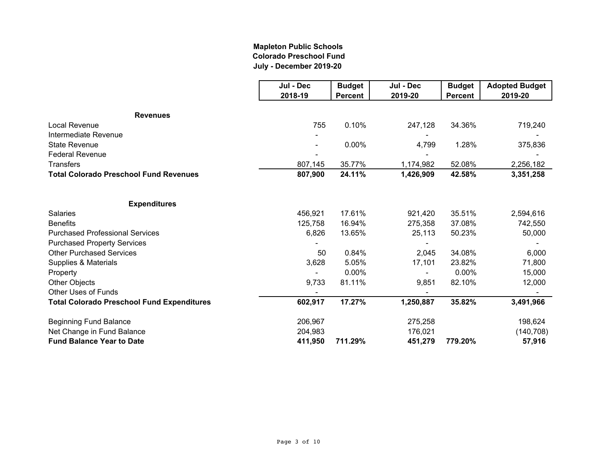### **Mapleton Public Schools Colorado Preschool Fund July - December 2019-20**

|                                                   | Jul - Dec | <b>Budget</b>  | Jul - Dec | <b>Budget</b>  | <b>Adopted Budget</b> |
|---------------------------------------------------|-----------|----------------|-----------|----------------|-----------------------|
|                                                   | 2018-19   | <b>Percent</b> | 2019-20   | <b>Percent</b> | 2019-20               |
| <b>Revenues</b>                                   |           |                |           |                |                       |
| Local Revenue                                     | 755       | 0.10%          | 247,128   | 34.36%         | 719,240               |
| Intermediate Revenue                              |           |                |           |                |                       |
| <b>State Revenue</b>                              |           | 0.00%          | 4,799     | 1.28%          | 375,836               |
| <b>Federal Revenue</b>                            |           |                |           |                |                       |
| <b>Transfers</b>                                  | 807,145   | 35.77%         | 1,174,982 | 52.08%         | 2,256,182             |
| <b>Total Colorado Preschool Fund Revenues</b>     | 807,900   | 24.11%         | 1,426,909 | 42.58%         | 3,351,258             |
| <b>Expenditures</b>                               |           |                |           |                |                       |
| <b>Salaries</b>                                   | 456,921   | 17.61%         | 921,420   | 35.51%         | 2,594,616             |
| <b>Benefits</b>                                   | 125,758   | 16.94%         | 275,358   | 37.08%         | 742,550               |
| <b>Purchased Professional Services</b>            | 6,826     | 13.65%         | 25,113    | 50.23%         | 50,000                |
| <b>Purchased Property Services</b>                |           |                |           |                |                       |
| <b>Other Purchased Services</b>                   | 50        | 0.84%          | 2,045     | 34.08%         | 6,000                 |
| Supplies & Materials                              | 3,628     | 5.05%          | 17,101    | 23.82%         | 71,800                |
| Property                                          |           | 0.00%          |           | 0.00%          | 15,000                |
| <b>Other Objects</b>                              | 9,733     | 81.11%         | 9,851     | 82.10%         | 12,000                |
| <b>Other Uses of Funds</b>                        |           |                |           |                |                       |
| <b>Total Colorado Preschool Fund Expenditures</b> | 602,917   | 17.27%         | 1,250,887 | 35.82%         | 3,491,966             |
| <b>Beginning Fund Balance</b>                     | 206,967   |                | 275,258   |                | 198,624               |
| Net Change in Fund Balance                        | 204,983   |                | 176,021   |                | (140, 708)            |
| <b>Fund Balance Year to Date</b>                  | 411,950   | 711.29%        | 451,279   | 779.20%        | 57,916                |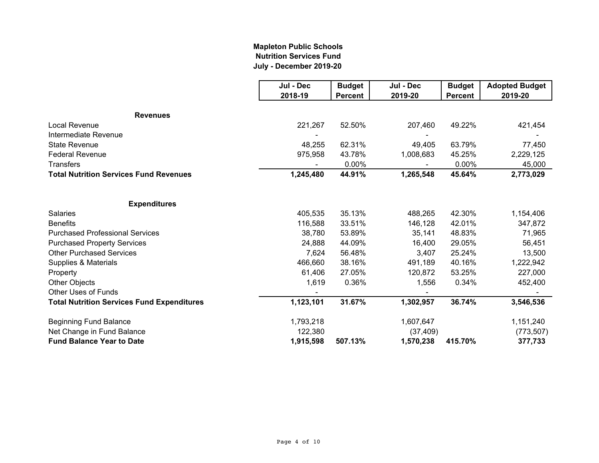### **Mapleton Public Schools Nutrition Services Fund July - December 2019-20**

|                                                   | Jul - Dec | <b>Budget</b>  | Jul - Dec | <b>Budget</b>  | <b>Adopted Budget</b> |
|---------------------------------------------------|-----------|----------------|-----------|----------------|-----------------------|
|                                                   | 2018-19   | <b>Percent</b> | 2019-20   | <b>Percent</b> | 2019-20               |
| <b>Revenues</b>                                   |           |                |           |                |                       |
| Local Revenue                                     | 221,267   | 52.50%         | 207,460   | 49.22%         | 421,454               |
| Intermediate Revenue                              |           |                |           |                |                       |
| <b>State Revenue</b>                              | 48,255    | 62.31%         | 49,405    | 63.79%         | 77,450                |
| <b>Federal Revenue</b>                            | 975,958   | 43.78%         | 1,008,683 | 45.25%         | 2,229,125             |
| <b>Transfers</b>                                  |           | 0.00%          |           | $0.00\%$       | 45,000                |
| <b>Total Nutrition Services Fund Revenues</b>     | 1,245,480 | 44.91%         | 1,265,548 | 45.64%         | 2,773,029             |
|                                                   |           |                |           |                |                       |
| <b>Expenditures</b>                               |           |                |           |                |                       |
| <b>Salaries</b>                                   | 405,535   | 35.13%         | 488,265   | 42.30%         | 1,154,406             |
| <b>Benefits</b>                                   | 116,588   | 33.51%         | 146,128   | 42.01%         | 347,872               |
| <b>Purchased Professional Services</b>            | 38,780    | 53.89%         | 35,141    | 48.83%         | 71,965                |
| <b>Purchased Property Services</b>                | 24,888    | 44.09%         | 16,400    | 29.05%         | 56,451                |
| <b>Other Purchased Services</b>                   | 7,624     | 56.48%         | 3,407     | 25.24%         | 13,500                |
| Supplies & Materials                              | 466,660   | 38.16%         | 491,189   | 40.16%         | 1,222,942             |
| Property                                          | 61,406    | 27.05%         | 120,872   | 53.25%         | 227,000               |
| <b>Other Objects</b>                              | 1,619     | 0.36%          | 1,556     | 0.34%          | 452,400               |
| <b>Other Uses of Funds</b>                        |           |                |           |                |                       |
| <b>Total Nutrition Services Fund Expenditures</b> | 1,123,101 | 31.67%         | 1,302,957 | 36.74%         | 3,546,536             |
| <b>Beginning Fund Balance</b>                     | 1,793,218 |                | 1,607,647 |                | 1,151,240             |
| Net Change in Fund Balance                        | 122,380   |                | (37, 409) |                | (773, 507)            |
| <b>Fund Balance Year to Date</b>                  | 1,915,598 | 507.13%        | 1,570,238 | 415.70%        | 377,733               |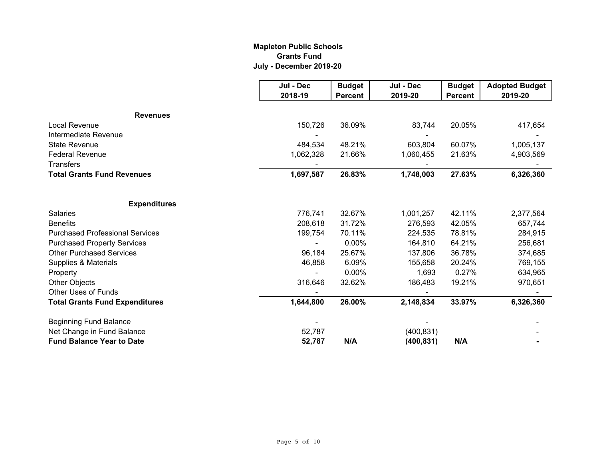### **Mapleton Public Schools Grants Fund July - December 2019-20**

|                                        | Jul - Dec | <b>Budget</b>  | Jul - Dec  | <b>Budget</b>  | <b>Adopted Budget</b> |
|----------------------------------------|-----------|----------------|------------|----------------|-----------------------|
|                                        | 2018-19   | <b>Percent</b> | 2019-20    | <b>Percent</b> | 2019-20               |
| <b>Revenues</b>                        |           |                |            |                |                       |
| Local Revenue                          | 150,726   | 36.09%         | 83,744     | 20.05%         | 417,654               |
| Intermediate Revenue                   |           |                |            |                |                       |
| <b>State Revenue</b>                   | 484,534   | 48.21%         | 603,804    | 60.07%         | 1,005,137             |
| <b>Federal Revenue</b>                 | 1,062,328 | 21.66%         | 1,060,455  | 21.63%         | 4,903,569             |
| <b>Transfers</b>                       |           |                |            |                |                       |
| <b>Total Grants Fund Revenues</b>      | 1,697,587 | 26.83%         | 1,748,003  | 27.63%         | 6,326,360             |
|                                        |           |                |            |                |                       |
| <b>Expenditures</b>                    |           |                |            |                |                       |
| <b>Salaries</b>                        | 776,741   | 32.67%         | 1,001,257  | 42.11%         | 2,377,564             |
| <b>Benefits</b>                        | 208,618   | 31.72%         | 276,593    | 42.05%         | 657,744               |
| <b>Purchased Professional Services</b> | 199,754   | 70.11%         | 224,535    | 78.81%         | 284,915               |
| <b>Purchased Property Services</b>     |           | 0.00%          | 164,810    | 64.21%         | 256,681               |
| <b>Other Purchased Services</b>        | 96,184    | 25.67%         | 137,806    | 36.78%         | 374,685               |
| Supplies & Materials                   | 46,858    | 6.09%          | 155,658    | 20.24%         | 769,155               |
| Property                               |           | 0.00%          | 1,693      | 0.27%          | 634,965               |
| <b>Other Objects</b>                   | 316,646   | 32.62%         | 186,483    | 19.21%         | 970,651               |
| <b>Other Uses of Funds</b>             |           |                |            |                |                       |
| <b>Total Grants Fund Expenditures</b>  | 1,644,800 | 26.00%         | 2,148,834  | 33.97%         | 6,326,360             |
| <b>Beginning Fund Balance</b>          |           |                |            |                |                       |
| Net Change in Fund Balance             | 52,787    |                | (400, 831) |                |                       |
| <b>Fund Balance Year to Date</b>       | 52,787    | N/A            | (400, 831) | N/A            |                       |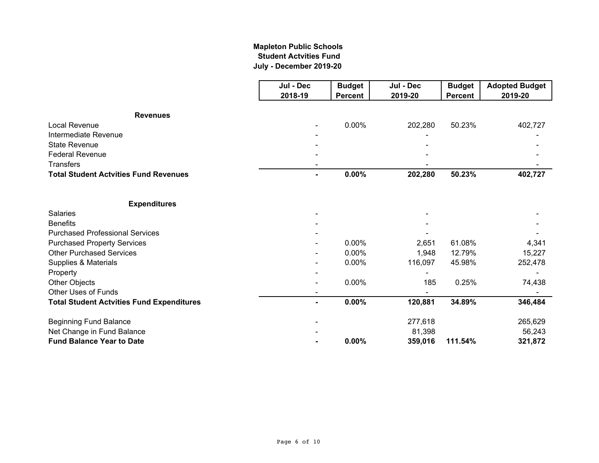### **July - December 2019-20 Mapleton Public Schools Student Actvities Fund**

|                                                  | Jul - Dec      | <b>Budget</b>  | Jul - Dec | <b>Budget</b>  | <b>Adopted Budget</b> |
|--------------------------------------------------|----------------|----------------|-----------|----------------|-----------------------|
|                                                  | 2018-19        | <b>Percent</b> | 2019-20   | <b>Percent</b> | 2019-20               |
| <b>Revenues</b>                                  |                |                |           |                |                       |
| <b>Local Revenue</b>                             |                | 0.00%          | 202,280   | 50.23%         | 402,727               |
| Intermediate Revenue                             |                |                |           |                |                       |
| <b>State Revenue</b>                             |                |                |           |                |                       |
| <b>Federal Revenue</b>                           |                |                |           |                |                       |
| <b>Transfers</b>                                 |                |                |           |                |                       |
| <b>Total Student Actvities Fund Revenues</b>     | ۰.             | 0.00%          | 202,280   | 50.23%         | 402,727               |
| <b>Expenditures</b>                              |                |                |           |                |                       |
| <b>Salaries</b>                                  |                |                |           |                |                       |
| <b>Benefits</b>                                  |                |                |           |                |                       |
| <b>Purchased Professional Services</b>           |                |                |           |                |                       |
| <b>Purchased Property Services</b>               |                | 0.00%          | 2,651     | 61.08%         | 4,341                 |
| <b>Other Purchased Services</b>                  |                | 0.00%          | 1,948     | 12.79%         | 15,227                |
| Supplies & Materials                             |                | $0.00\%$       | 116,097   | 45.98%         | 252,478               |
| Property                                         |                |                |           |                |                       |
| Other Objects                                    |                | 0.00%          | 185       | 0.25%          | 74,438                |
| <b>Other Uses of Funds</b>                       |                |                |           |                |                       |
| <b>Total Student Actvities Fund Expenditures</b> | $\blacksquare$ | 0.00%          | 120,881   | 34.89%         | 346,484               |
| <b>Beginning Fund Balance</b>                    |                |                | 277,618   |                | 265,629               |
| Net Change in Fund Balance                       |                |                | 81,398    |                | 56,243                |
| <b>Fund Balance Year to Date</b>                 |                | 0.00%          | 359,016   | 111.54%        | 321,872               |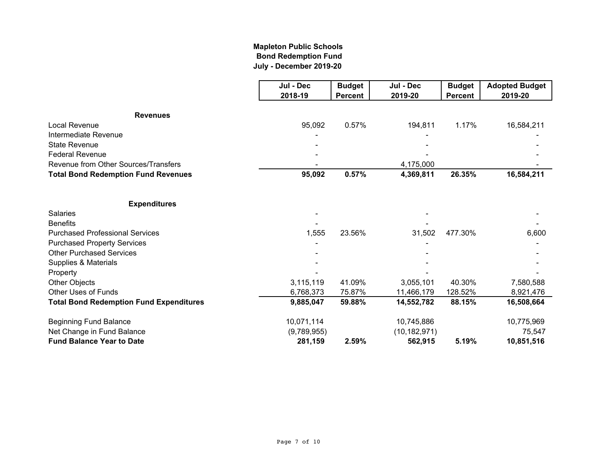# **Mapleton Public Schools Bond Redemption Fund July - December 2019-20**

|                                                | Jul - Dec<br>2018-19 | <b>Budget</b><br><b>Percent</b> | Jul - Dec<br>2019-20 | <b>Budget</b><br><b>Percent</b> | <b>Adopted Budget</b><br>2019-20 |
|------------------------------------------------|----------------------|---------------------------------|----------------------|---------------------------------|----------------------------------|
| <b>Revenues</b>                                |                      |                                 |                      |                                 |                                  |
| <b>Local Revenue</b>                           | 95,092               | 0.57%                           | 194,811              | 1.17%                           | 16,584,211                       |
| Intermediate Revenue                           |                      |                                 |                      |                                 |                                  |
| <b>State Revenue</b>                           |                      |                                 |                      |                                 |                                  |
| <b>Federal Revenue</b>                         |                      |                                 |                      |                                 |                                  |
| Revenue from Other Sources/Transfers           |                      |                                 | 4,175,000            |                                 |                                  |
| <b>Total Bond Redemption Fund Revenues</b>     | 95,092               | 0.57%                           | 4,369,811            | 26.35%                          | 16,584,211                       |
| <b>Expenditures</b>                            |                      |                                 |                      |                                 |                                  |
| <b>Salaries</b>                                |                      |                                 |                      |                                 |                                  |
| <b>Benefits</b>                                |                      |                                 |                      |                                 |                                  |
| <b>Purchased Professional Services</b>         | 1,555                | 23.56%                          | 31,502               | 477.30%                         | 6,600                            |
| <b>Purchased Property Services</b>             |                      |                                 |                      |                                 |                                  |
| <b>Other Purchased Services</b>                |                      |                                 |                      |                                 |                                  |
| Supplies & Materials                           |                      |                                 |                      |                                 |                                  |
| Property                                       |                      |                                 |                      |                                 |                                  |
| Other Objects                                  | 3,115,119            | 41.09%                          | 3,055,101            | 40.30%                          | 7,580,588                        |
| <b>Other Uses of Funds</b>                     | 6,768,373            | 75.87%                          | 11,466,179           | 128.52%                         | 8,921,476                        |
| <b>Total Bond Redemption Fund Expenditures</b> | 9,885,047            | 59.88%                          | 14,552,782           | 88.15%                          | 16,508,664                       |
| <b>Beginning Fund Balance</b>                  | 10,071,114           |                                 | 10,745,886           |                                 | 10,775,969                       |
| Net Change in Fund Balance                     | (9,789,955)          |                                 | (10, 182, 971)       |                                 | 75,547                           |
| <b>Fund Balance Year to Date</b>               | 281,159              | 2.59%                           | 562,915              | 5.19%                           | 10,851,516                       |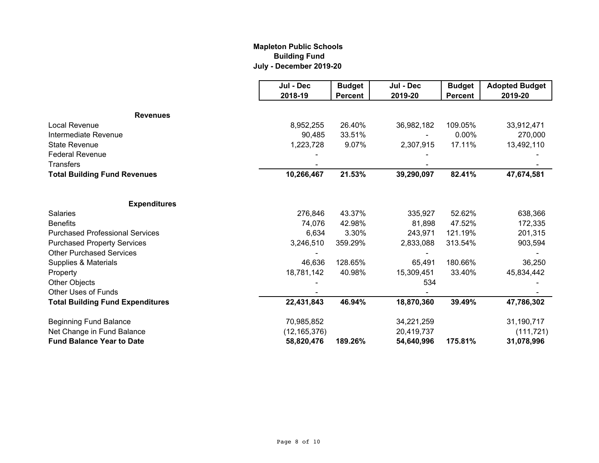# **Mapleton Public Schools Building Fund July - December 2019-20**

|                                         | Jul - Dec      | <b>Budget</b>  | Jul - Dec  | <b>Budget</b>  | <b>Adopted Budget</b> |
|-----------------------------------------|----------------|----------------|------------|----------------|-----------------------|
|                                         | 2018-19        | <b>Percent</b> | 2019-20    | <b>Percent</b> | 2019-20               |
| <b>Revenues</b>                         |                |                |            |                |                       |
| Local Revenue                           | 8,952,255      | 26.40%         | 36,982,182 | 109.05%        | 33,912,471            |
| Intermediate Revenue                    | 90,485         | 33.51%         |            | 0.00%          | 270,000               |
| <b>State Revenue</b>                    | 1,223,728      | 9.07%          | 2,307,915  | 17.11%         | 13,492,110            |
| <b>Federal Revenue</b>                  |                |                |            |                |                       |
| <b>Transfers</b>                        |                |                |            |                |                       |
| <b>Total Building Fund Revenues</b>     | 10,266,467     | 21.53%         | 39,290,097 | 82.41%         | 47,674,581            |
|                                         |                |                |            |                |                       |
| <b>Expenditures</b>                     |                |                |            |                |                       |
| <b>Salaries</b>                         | 276,846        | 43.37%         | 335,927    | 52.62%         | 638,366               |
| <b>Benefits</b>                         | 74,076         | 42.98%         | 81,898     | 47.52%         | 172,335               |
| <b>Purchased Professional Services</b>  | 6,634          | 3.30%          | 243,971    | 121.19%        | 201,315               |
| <b>Purchased Property Services</b>      | 3,246,510      | 359.29%        | 2,833,088  | 313.54%        | 903,594               |
| <b>Other Purchased Services</b>         |                |                |            |                |                       |
| Supplies & Materials                    | 46,636         | 128.65%        | 65,491     | 180.66%        | 36,250                |
| Property                                | 18,781,142     | 40.98%         | 15,309,451 | 33.40%         | 45,834,442            |
| Other Objects                           |                |                | 534        |                |                       |
| <b>Other Uses of Funds</b>              |                |                |            |                |                       |
| <b>Total Building Fund Expenditures</b> | 22,431,843     | 46.94%         | 18,870,360 | 39.49%         | 47,786,302            |
| <b>Beginning Fund Balance</b>           | 70,985,852     |                | 34,221,259 |                | 31,190,717            |
| Net Change in Fund Balance              | (12, 165, 376) |                | 20,419,737 |                | (111, 721)            |
| <b>Fund Balance Year to Date</b>        | 58,820,476     | 189.26%        | 54,640,996 | 175.81%        | 31,078,996            |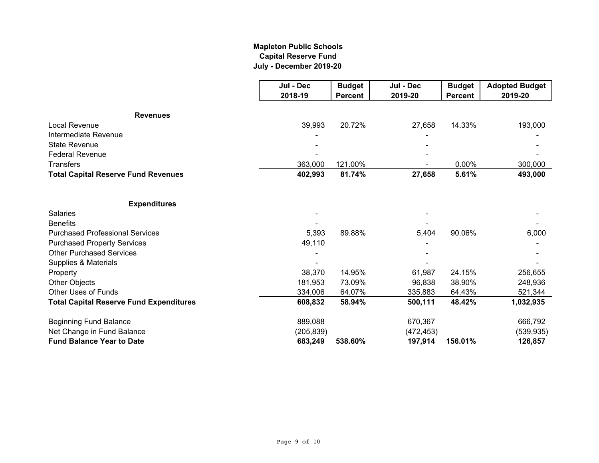# **Mapleton Public Schools Capital Reserve Fund July - December 2019-20**

|                                                | Jul - Dec  | <b>Budget</b>  | Jul - Dec  | <b>Budget</b>  | <b>Adopted Budget</b> |
|------------------------------------------------|------------|----------------|------------|----------------|-----------------------|
|                                                | 2018-19    | <b>Percent</b> | 2019-20    | <b>Percent</b> | 2019-20               |
| <b>Revenues</b>                                |            |                |            |                |                       |
| Local Revenue                                  | 39,993     | 20.72%         | 27,658     | 14.33%         | 193,000               |
| Intermediate Revenue                           |            |                |            |                |                       |
| <b>State Revenue</b>                           |            |                |            |                |                       |
| <b>Federal Revenue</b>                         |            |                |            |                |                       |
| <b>Transfers</b>                               | 363,000    | 121.00%        |            | 0.00%          | 300,000               |
| <b>Total Capital Reserve Fund Revenues</b>     | 402,993    | 81.74%         | 27,658     | 5.61%          | 493,000               |
|                                                |            |                |            |                |                       |
| <b>Expenditures</b>                            |            |                |            |                |                       |
| <b>Salaries</b>                                |            |                |            |                |                       |
| <b>Benefits</b>                                |            |                |            |                |                       |
| <b>Purchased Professional Services</b>         | 5,393      | 89.88%         | 5,404      | 90.06%         | 6,000                 |
| <b>Purchased Property Services</b>             | 49,110     |                |            |                |                       |
| <b>Other Purchased Services</b>                |            |                |            |                |                       |
| Supplies & Materials                           |            |                |            |                |                       |
| Property                                       | 38,370     | 14.95%         | 61,987     | 24.15%         | 256,655               |
| <b>Other Objects</b>                           | 181,953    | 73.09%         | 96,838     | 38.90%         | 248,936               |
| <b>Other Uses of Funds</b>                     | 334,006    | 64.07%         | 335,883    | 64.43%         | 521,344               |
| <b>Total Capital Reserve Fund Expenditures</b> | 608,832    | 58.94%         | 500,111    | 48.42%         | 1,032,935             |
| <b>Beginning Fund Balance</b>                  | 889,088    |                | 670,367    |                | 666,792               |
| Net Change in Fund Balance                     | (205, 839) |                | (472, 453) |                | (539, 935)            |
| <b>Fund Balance Year to Date</b>               | 683,249    | 538.60%        | 197,914    | 156.01%        | 126,857               |